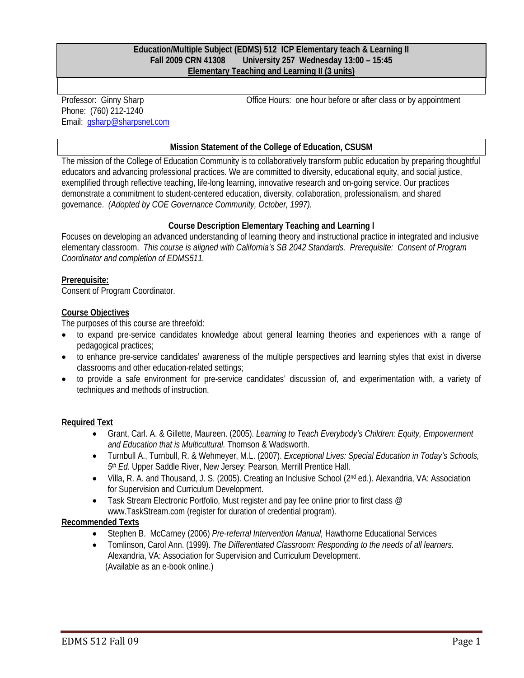#### **Education/Multiple Subject (EDMS) 512 ICP Elementary teach & Learning II Fall 2009 CRN 41308 University 257 Wednesday 13:00 – 15:45 Elementary Teaching and Learning II (3 units)**

Professor: Ginny Sharp Phone: (760) 212-1240 Email: gsharp@sharpsnet.com Office Hours: one hour before or after class or by appointment

#### **Mission Statement of the College of Education, CSUSM**

The mission of the College of Education Community is to collaboratively transform public education by preparing thoughtful educators and advancing professional practices. We are committed to diversity, educational equity, and social justice, exemplified through reflective teaching, life-long learning, innovative research and on-going service. Our practices demonstrate a commitment to student-centered education, diversity, collaboration, professionalism, and shared governance. *(Adopted by COE Governance Community, October, 1997).* 

## **Course Description Elementary Teaching and Learning I**

 *Coordinator and completion of EDMS511.*  Focuses on developing an advanced understanding of learning theory and instructional practice in integrated and inclusive elementary classroom. *This course is aligned with California's SB 2042 Standards. Prerequisite: Consent of Program* 

#### **Prerequisite:**

Consent of Program Coordinator.

#### **Course Objectives**

The purposes of this course are threefold:

- to expand pre-service candidates knowledge about general learning theories and experiences with a range of pedagogical practices;
- to enhance pre-service candidates' awareness of the multiple perspectives and learning styles that exist in diverse classrooms and other education-related settings;
- to provide a safe environment for pre-service candidates' discussion of, and experimentation with, a variety of techniques and methods of instruction.

#### **Required Text**

- Grant, Carl. A. & Gillette, Maureen. (2005). *Learning to Teach Everybody's Children: Equity, Empowerment and Education that is Multicultural.* Thomson & Wadsworth.
- Turnbull A., Turnbull, R. & Wehmeyer, M.L. (2007). *Exceptional Lives: Special Education in Today's Schools, 5th Ed*. Upper Saddle River, New Jersey: Pearson, Merrill Prentice Hall.
- Villa, R. A. and Thousand, J. S. (2005). Creating an Inclusive School (2nd ed.). Alexandria, VA: Association for Supervision and Curriculum Development.
- Task Stream Electronic Portfolio, Must register and pay fee online prior to first class @ www.TaskStream.com (register for duration of credential program).

#### **Recommended Texts**

- Stephen B. McCarney (2006) *Pre-referral Intervention Manual,* Hawthorne Educational Services
- Tomlinson, Carol Ann. (1999). *The Differentiated Classroom: Responding to the needs of all learners.*  Alexandria, VA: Association for Supervision and Curriculum Development. (Available as an e-book online.)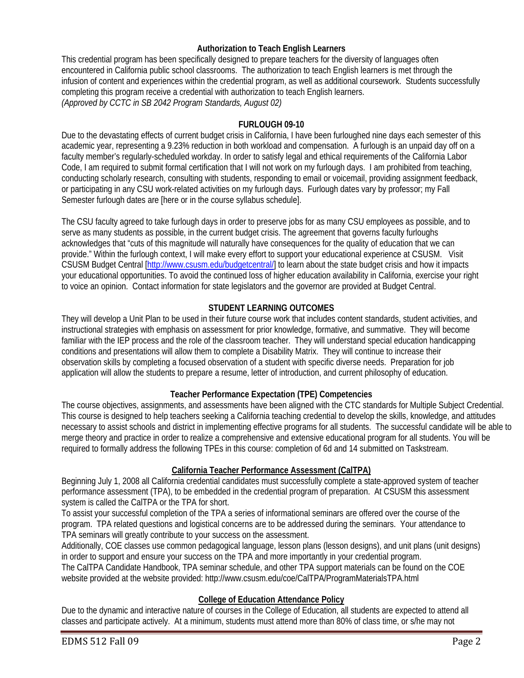## **Authorization to Teach English Learners**

This credential program has been specifically designed to prepare teachers for the diversity of languages often encountered in California public school classrooms. The authorization to teach English learners is met through the infusion of content and experiences within the credential program, as well as additional coursework. Students successfully completing this program receive a credential with authorization to teach English learners. *(Approved by CCTC in SB 2042 Program Standards, August 02)* 

## **FURLOUGH 09-10**

Due to the devastating effects of current budget crisis in California, I have been furloughed nine days each semester of this academic year, representing a 9.23% reduction in both workload and compensation. A furlough is an unpaid day off on a faculty member's regularly-scheduled workday. In order to satisfy legal and ethical requirements of the California Labor Code, I am required to submit formal certification that I will not work on my furlough days. I am prohibited from teaching, conducting scholarly research, consulting with students, responding to email or voicemail, providing assignment feedback, or participating in any CSU work-related activities on my furlough days. Furlough dates vary by professor; my Fall Semester furlough dates are [here or in the course syllabus schedule].

The CSU faculty agreed to take furlough days in order to preserve jobs for as many CSU employees as possible, and to serve as many students as possible, in the current budget crisis. The agreement that governs faculty furloughs acknowledges that "cuts of this magnitude will naturally have consequences for the quality of education that we can provide." Within the furlough context, I will make every effort to support your educational experience at CSUSM. Visit CSUSM Budget Central [http://www.csusm.edu/budgetcentral/] to learn about the state budget crisis and how it impacts your educational opportunities. To avoid the continued loss of higher education availability in California, exercise your right to voice an opinion. Contact information for state legislators and the governor are provided at Budget Central.

## **STUDENT LEARNING OUTCOMES**

 instructional strategies with emphasis on assessment for prior knowledge, formative, and summative. They will become They will develop a Unit Plan to be used in their future course work that includes content standards, student activities, and familiar with the IEP process and the role of the classroom teacher. They will understand special education handicapping conditions and presentations will allow them to complete a Disability Matrix. They will continue to increase their observation skills by completing a focused observation of a student with specific diverse needs. Preparation for job application will allow the students to prepare a resume, letter of introduction, and current philosophy of education.

## **Teacher Performance Expectation (TPE) Competencies**

The course objectives, assignments, and assessments have been aligned with the CTC standards for Multiple Subject Credential. This course is designed to help teachers seeking a California teaching credential to develop the skills, knowledge, and attitudes necessary to assist schools and district in implementing effective programs for all students. The successful candidate will be able to merge theory and practice in order to realize a comprehensive and extensive educational program for all students. You will be required to formally address the following TPEs in this course: completion of 6d and 14 submitted on Taskstream.

## **California Teacher Performance Assessment (CalTPA)**

Beginning July 1, 2008 all California credential candidates must successfully complete a state-approved system of teacher performance assessment (TPA), to be embedded in the credential program of preparation. At CSUSM this assessment system is called the CalTPA or the TPA for short.

To assist your successful completion of the TPA a series of informational seminars are offered over the course of the program. TPA related questions and logistical concerns are to be addressed during the seminars. Your attendance to TPA seminars will greatly contribute to your success on the assessment.

Additionally, COE classes use common pedagogical language, lesson plans (lesson designs), and unit plans (unit designs) in order to support and ensure your success on the TPA and more importantly in your credential program. The CalTPA Candidate Handbook, TPA seminar schedule, and other TPA support materials can be found on the COE website provided at the website provided: http://www.csusm.edu/coe/CalTPA/ProgramMaterialsTPA.html

## **College of Education Attendance Policy**

Due to the dynamic and interactive nature of courses in the College of Education, all students are expected to attend all classes and participate actively. At a minimum, students must attend more than 80% of class time, or s/he may not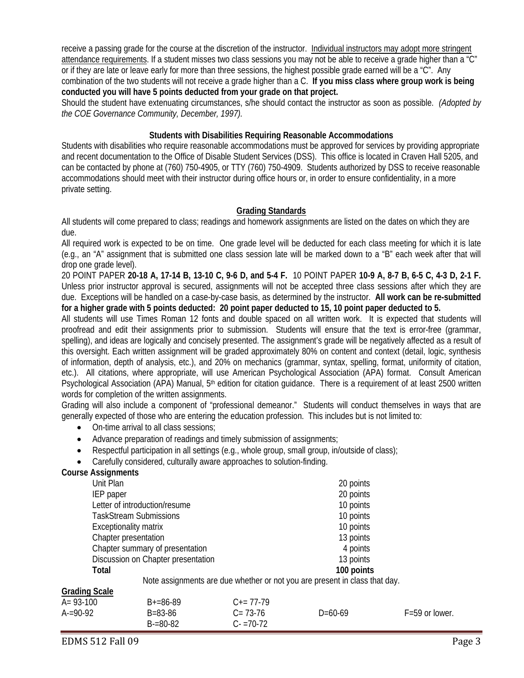receive a passing grade for the course at the discretion of the instructor. Individual instructors may adopt more stringent attendance requirements. If a student misses two class sessions you may not be able to receive a grade higher than a "C" or if they are late or leave early for more than three sessions, the highest possible grade earned will be a "C". Any combination of the two students will not receive a grade higher than a C. **If you miss class where group work is being conducted you will have 5 points deducted from your grade on that project.** 

 *the COE Governance Community, December, 1997).* Should the student have extenuating circumstances, s/he should contact the instructor as soon as possible. *(Adopted by* 

### **Students with Disabilities Requiring Reasonable Accommodations**

Students with disabilities who require reasonable accommodations must be approved for services by providing appropriate and recent documentation to the Office of Disable Student Services (DSS). This office is located in Craven Hall 5205, and can be contacted by phone at (760) 750-4905, or TTY (760) 750-4909. Students authorized by DSS to receive reasonable accommodations should meet with their instructor during office hours or, in order to ensure confidentiality, in a more private setting.

## **Grading Standards**

 All students will come prepared to class; readings and homework assignments are listed on the dates on which they are due.

All required work is expected to be on time. One grade level will be deducted for each class meeting for which it is late (e.g., an "A" assignment that is submitted one class session late will be marked down to a "B" each week after that will drop one grade level).

 due. Exceptions will be handled on a case-by-case basis, as determined by the instructor. **All work can be re-submitted**  20 POINT PAPER **20-18 A, 17-14 B, 13-10 C, 9-6 D, and 5-4 F.** 10 POINT PAPER **10-9 A, 8-7 B, 6-5 C, 4-3 D, 2-1 F.**  Unless prior instructor approval is secured, assignments will not be accepted three class sessions after which they are **for a higher grade with 5 points deducted: 20 point paper deducted to 15, 10 point paper deducted to 5.** 

Psychological Association (APA) Manual, 5<sup>th</sup> edition for citation guidance. There is a requirement of at least 2500 written All students will use Times Roman 12 fonts and double spaced on all written work. It is expected that students will proofread and edit their assignments prior to submission. Students will ensure that the text is error-free (grammar, spelling), and ideas are logically and concisely presented. The assignment's grade will be negatively affected as a result of this oversight. Each written assignment will be graded approximately 80% on content and context (detail, logic, synthesis of information, depth of analysis, etc.), and 20% on mechanics (grammar, syntax, spelling, format, uniformity of citation, etc.). All citations, where appropriate, will use American Psychological Association (APA) format. Consult American words for completion of the written assignments.

 Grading will also include a component of "professional demeanor." Students will conduct themselves in ways that are generally expected of those who are entering the education profession. This includes but is not limited to:

- On-time arrival to all class sessions;
- Advance preparation of readings and timely submission of assignments;
- Respectful participation in all settings (e.g., whole group, small group, in/outside of class);
- Carefully considered, culturally aware approaches to solution-finding.

#### **Course Assignments**

| .                                                                          |            |
|----------------------------------------------------------------------------|------------|
| Unit Plan                                                                  | 20 points  |
| IEP paper                                                                  | 20 points  |
| Letter of introduction/resume                                              | 10 points  |
| <b>TaskStream Submissions</b>                                              | 10 points  |
| 10 points<br><b>Exceptionality matrix</b>                                  |            |
| Chapter presentation<br>13 points                                          |            |
| Chapter summary of presentation                                            | 4 points   |
| Discussion on Chapter presentation                                         | 13 points  |
| <b>Total</b>                                                               | 100 points |
| Note assignments are due whether or not you are present in class that day. |            |

| <b>Grading Scale</b> |               |                     |           |                    |
|----------------------|---------------|---------------------|-----------|--------------------|
| $A = 93-100$         | $B+=86-89$    | $C_{\pm} = 77 - 79$ |           |                    |
| $A = 90-92$          | B=83-86       | $C = 73-76$         | $D=60-69$ | $F = 59$ or lower. |
|                      | $B = 80 - 82$ | $C - 70 - 72$       |           |                    |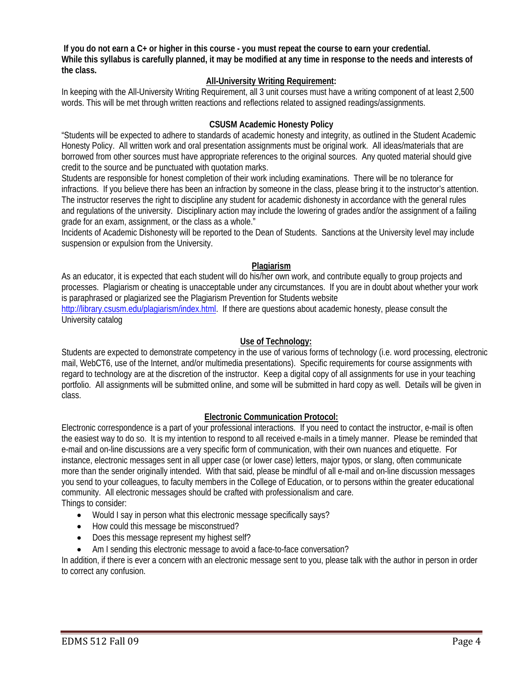**If you do not earn a C+ or higher in this course - you must repeat the course to earn your credential. While this syllabus is carefully planned, it may be modified at any time in response to the needs and interests of the class.** 

## **All-University Writing Requirement:**

 words. This will be met through written reactions and reflections related to assigned readings/assignments. In keeping with the All-University Writing Requirement, all 3 unit courses must have a writing component of at least 2,500

## **CSUSM Academic Honesty Policy**

"Students will be expected to adhere to standards of academic honesty and integrity, as outlined in the Student Academic Honesty Policy. All written work and oral presentation assignments must be original work. All ideas/materials that are borrowed from other sources must have appropriate references to the original sources. Any quoted material should give credit to the source and be punctuated with quotation marks.

Students are responsible for honest completion of their work including examinations. There will be no tolerance for infractions. If you believe there has been an infraction by someone in the class, please bring it to the instructor's attention. The instructor reserves the right to discipline any student for academic dishonesty in accordance with the general rules and regulations of the university. Disciplinary action may include the lowering of grades and/or the assignment of a failing grade for an exam, assignment, or the class as a whole."

Incidents of Academic Dishonesty will be reported to the Dean of Students. Sanctions at the University level may include suspension or expulsion from the University.

## **Plagiarism**

As an educator, it is expected that each student will do his/her own work, and contribute equally to group projects and processes. Plagiarism or cheating is unacceptable under any circumstances. If you are in doubt about whether your work is paraphrased or plagiarized see the Plagiarism Prevention for Students website http://library.csusm.edu/plagiarism/index.html. If there are questions about academic honesty, please consult the

University catalog

## **Use of Technology:**

 Students are expected to demonstrate competency in the use of various forms of technology (i.e. word processing, electronic mail, WebCT6, use of the Internet, and/or multimedia presentations). Specific requirements for course assignments with regard to technology are at the discretion of the instructor. Keep a digital copy of all assignments for use in your teaching portfolio. All assignments will be submitted online, and some will be submitted in hard copy as well. Details will be given in class.

#### **Electronic Communication Protocol:**

 instance, electronic messages sent in all upper case (or lower case) letters, major typos, or slang, often communicate Electronic correspondence is a part of your professional interactions. If you need to contact the instructor, e-mail is often the easiest way to do so. It is my intention to respond to all received e-mails in a timely manner. Please be reminded that e-mail and on-line discussions are a very specific form of communication, with their own nuances and etiquette. For more than the sender originally intended. With that said, please be mindful of all e-mail and on-line discussion messages you send to your colleagues, to faculty members in the College of Education, or to persons within the greater educational community. All electronic messages should be crafted with professionalism and care.

Things to consider:

- Would I say in person what this electronic message specifically says?
- How could this message be misconstrued?
- Does this message represent my highest self?
- Am I sending this electronic message to avoid a face-to-face conversation?

In addition, if there is ever a concern with an electronic message sent to you, please talk with the author in person in order to correct any confusion.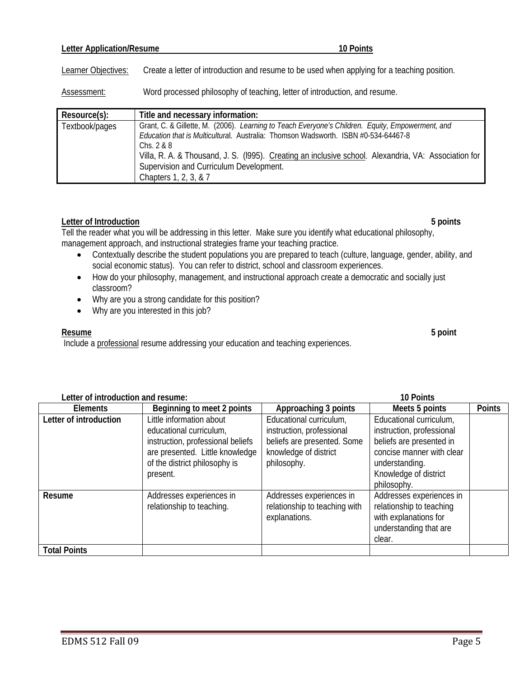## **Letter Application/Resume 10 Points 10 Points**

Learner Objectives: Create a letter of introduction and resume to be used when applying for a teaching position.

Assessment: Word processed philosophy of teaching, letter of introduction, and resume.

| Resource(s):   | Title and necessary information:                                                                     |
|----------------|------------------------------------------------------------------------------------------------------|
| Textbook/pages | Grant, C. & Gillette, M. (2006). Learning to Teach Everyone's Children. Equity, Empowerment, and     |
|                | Education that is Multicultural. Australia: Thomson Wadsworth. ISBN #0-534-64467-8                   |
|                | Chs. $2 & 8$                                                                                         |
|                | Villa, R. A. & Thousand, J. S. (1995). Creating an inclusive school. Alexandria, VA: Association for |
|                | Supervision and Curriculum Development.                                                              |
|                | Chapters 1, 2, 3, & 7                                                                                |

## **Letter of Introduction 5 points**

Tell the reader what you will be addressing in this letter. Make sure you identify what educational philosophy, management approach, and instructional strategies frame your teaching practice.

- Contextually describe the student populations you are prepared to teach (culture, language, gender, ability, and social economic status). You can refer to district, school and classroom experiences.
- How do your philosophy, management, and instructional approach create a democratic and socially just classroom?
- Why are you a strong candidate for this position?
- Why are you interested in this job?

#### **Resume Resume 5 point**

Include a professional resume addressing your education and teaching experiences.

| Letter of introduction and resume: |                                                                                                                                                                          |                                                                                                                             | 10 Points                                                                                                                                                               |               |
|------------------------------------|--------------------------------------------------------------------------------------------------------------------------------------------------------------------------|-----------------------------------------------------------------------------------------------------------------------------|-------------------------------------------------------------------------------------------------------------------------------------------------------------------------|---------------|
| Elements                           | Beginning to meet 2 points                                                                                                                                               | Approaching 3 points                                                                                                        | Meets 5 points                                                                                                                                                          | <b>Points</b> |
| Letter of introduction             | Little information about<br>educational curriculum,<br>instruction, professional beliefs<br>are presented. Little knowledge<br>of the district philosophy is<br>present. | Educational curriculum,<br>instruction, professional<br>beliefs are presented. Some<br>knowledge of district<br>philosophy. | Educational curriculum,<br>instruction, professional<br>beliefs are presented in<br>concise manner with clear<br>understanding.<br>Knowledge of district<br>philosophy. |               |
| Resume                             | Addresses experiences in<br>relationship to teaching.                                                                                                                    | Addresses experiences in<br>relationship to teaching with<br>explanations.                                                  | Addresses experiences in<br>relationship to teaching<br>with explanations for<br>understanding that are<br>clear.                                                       |               |
| <b>Total Points</b>                |                                                                                                                                                                          |                                                                                                                             |                                                                                                                                                                         |               |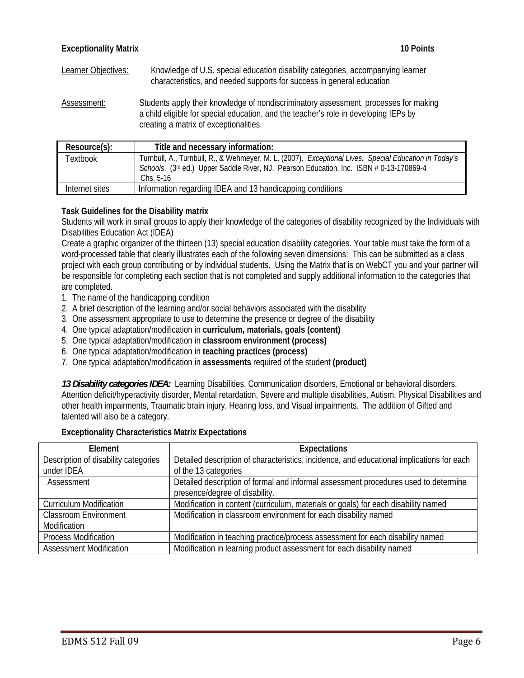Learner Objectives: Knowledge of U.S. special education disability categories, accompanying learner characteristics, and needed supports for success in general education

Assessment: Students apply their knowledge of nondiscriminatory assessment, processes for making a child eligible for special education, and the teacher's role in developing IEPs by creating a matrix of exceptionalities.

| Resource(s):   | Title and necessary information:                                                                                                                                                                              |
|----------------|---------------------------------------------------------------------------------------------------------------------------------------------------------------------------------------------------------------|
| Textbook       | Turnbull, A., Turnbull, R., & Wehmeyer, M. L. (2007). Exceptional Lives. Special Education in Today's<br>Schools. (3rd ed.) Upper Saddle River, NJ. Pearson Education, Inc. ISBN # 0-13-170869-4<br>Chs. 5-16 |
| Internet sites | Information regarding IDEA and 13 handicapping conditions                                                                                                                                                     |

## **Task Guidelines for the Disability matrix**

Students will work in small groups to apply their knowledge of the categories of disability recognized by the Individuals with Disabilities Education Act (IDEA)

are completed. Create a graphic organizer of the thirteen (13) special education disability categories. Your table must take the form of a word-processed table that clearly illustrates each of the following seven dimensions: This can be submitted as a class project with each group contributing or by individual students. Using the Matrix that is on WebCT you and your partner will be responsible for completing each section that is not completed and supply additional information to the categories that

- 1. The name of the handicapping condition
- 2. A brief description of the learning and/or social behaviors associated with the disability
- 3. One assessment appropriate to use to determine the presence or degree of the disability
- 4. One typical adaptation/modification in **curriculum, materials, goals (content)**
- 5. One typical adaptation/modification in **classroom environment (process)**
- 6. One typical adaptation/modification in **teaching practices (process)**
- 7. One typical adaptation/modification in **assessments** required of the student **(product)**

*13 Disability categories IDEA:* Learning Disabilities, Communication disorders, Emotional or behavioral disorders, Attention deficit/hyperactivity disorder, Mental retardation, Severe and multiple disabilities, Autism, Physical Disabilities and other health impairments, Traumatic brain injury, Hearing loss, and Visual impairments. The addition of Gifted and talented will also be a category.

#### **Exceptionality Characteristics Matrix Expectations**

| Element                              | <b>Expectations</b>                                                                       |
|--------------------------------------|-------------------------------------------------------------------------------------------|
| Description of disability categories | Detailed description of characteristics, incidence, and educational implications for each |
| under IDEA                           | of the 13 categories                                                                      |
| Assessment                           | Detailed description of formal and informal assessment procedures used to determine       |
|                                      | presence/degree of disability.                                                            |
| <b>Curriculum Modification</b>       | Modification in content (curriculum, materials or goals) for each disability named        |
| <b>Classroom Environment</b>         | Modification in classroom environment for each disability named                           |
| Modification                         |                                                                                           |
| <b>Process Modification</b>          | Modification in teaching practice/process assessment for each disability named            |
| <b>Assessment Modification</b>       | Modification in learning product assessment for each disability named                     |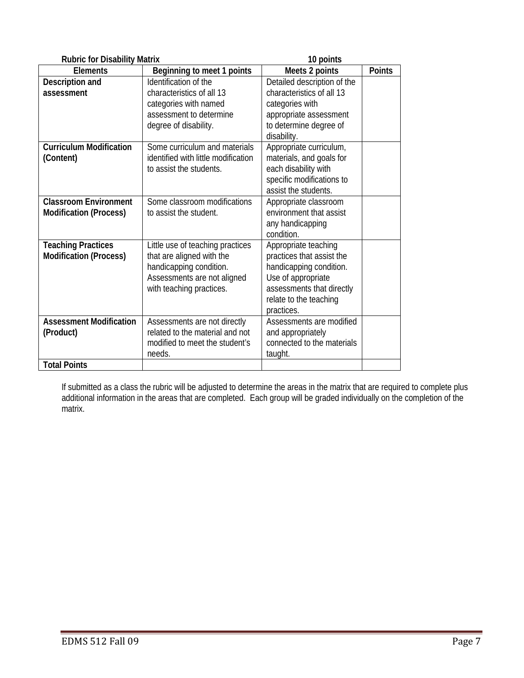| <b>Rubric for Disability Matrix</b> |                                                        | 10 points                                            |        |  |
|-------------------------------------|--------------------------------------------------------|------------------------------------------------------|--------|--|
| <b>Elements</b>                     | Beginning to meet 1 points                             | Meets 2 points                                       | Points |  |
| Description and                     | Identification of the                                  | Detailed description of the                          |        |  |
| assessment                          | characteristics of all 13                              | characteristics of all 13                            |        |  |
|                                     | categories with named                                  | categories with                                      |        |  |
|                                     | assessment to determine                                | appropriate assessment                               |        |  |
|                                     | degree of disability.                                  | to determine degree of                               |        |  |
|                                     |                                                        | disability.                                          |        |  |
| <b>Curriculum Modification</b>      | Some curriculum and materials                          | Appropriate curriculum,                              |        |  |
| (Content)                           | identified with little modification                    | materials, and goals for                             |        |  |
|                                     | to assist the students.                                | each disability with                                 |        |  |
|                                     |                                                        | specific modifications to                            |        |  |
|                                     |                                                        | assist the students.                                 |        |  |
| <b>Classroom Environment</b>        | Some classroom modifications                           | Appropriate classroom                                |        |  |
| <b>Modification (Process)</b>       | to assist the student.                                 | environment that assist                              |        |  |
|                                     |                                                        | any handicapping                                     |        |  |
|                                     |                                                        | condition.                                           |        |  |
| <b>Teaching Practices</b>           | Little use of teaching practices                       | Appropriate teaching                                 |        |  |
| <b>Modification (Process)</b>       | that are aligned with the                              | practices that assist the<br>handicapping condition. |        |  |
|                                     | handicapping condition.<br>Assessments are not aligned | Use of appropriate                                   |        |  |
|                                     | with teaching practices.                               | assessments that directly                            |        |  |
|                                     |                                                        | relate to the teaching                               |        |  |
|                                     |                                                        | practices.                                           |        |  |
| <b>Assessment Modification</b>      | Assessments are not directly                           | Assessments are modified                             |        |  |
| (Product)                           | related to the material and not                        | and appropriately                                    |        |  |
|                                     | modified to meet the student's                         | connected to the materials                           |        |  |
|                                     | needs.                                                 | taught.                                              |        |  |
| <b>Total Points</b>                 |                                                        |                                                      |        |  |

If submitted as a class the rubric will be adjusted to determine the areas in the matrix that are required to complete plus additional information in the areas that are completed. Each group will be graded individually on the completion of the matrix.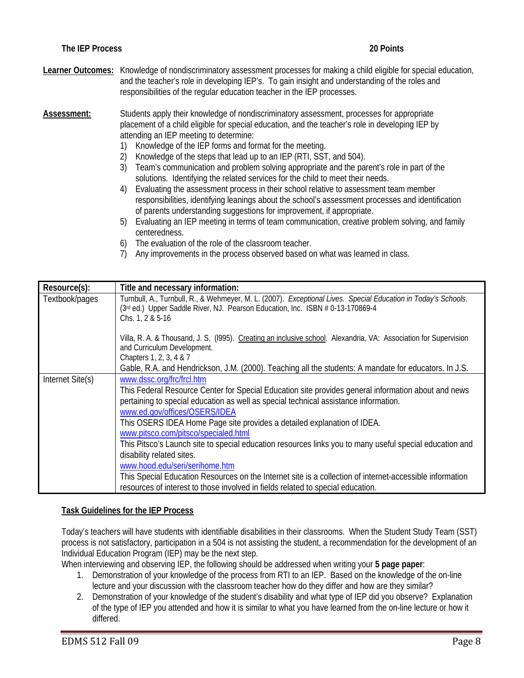**Learner Outcomes:** Knowledge of nondiscriminatory assessment processes for making a child eligible for special education, and the teacher's role in developing IEP's. To gain insight and understanding of the roles and responsibilities of the regular education teacher in the IEP processes.

**Assessment:** Students apply their knowledge of nondiscriminatory assessment, processes for appropriate placement of a child eligible for special education, and the teacher's role in developing IEP by attending an IEP meeting to determine:

- 1) Knowledge of the IEP forms and format for the meeting.
- 2) Knowledge of the steps that lead up to an IEP (RTI, SST, and 504).
- 3) Team's communication and problem solving appropriate and the parent's role in part of the solutions. Identifying the related services for the child to meet their needs.
- 4) Evaluating the assessment process in their school relative to assessment team member responsibilities, identifying leanings about the school's assessment processes and identification of parents understanding suggestions for improvement, if appropriate.
- 5) Evaluating an IEP meeting in terms of team communication, creative problem solving, and family centeredness.
- 6) The evaluation of the role of the classroom teacher.
- 7) Any improvements in the process observed based on what was learned in class.

| Resource(s):     | Title and necessary information:                                                                                                                                                                                                                                                                                                                                                                                                                                                                                                                                                                                                                                                                                                                      |
|------------------|-------------------------------------------------------------------------------------------------------------------------------------------------------------------------------------------------------------------------------------------------------------------------------------------------------------------------------------------------------------------------------------------------------------------------------------------------------------------------------------------------------------------------------------------------------------------------------------------------------------------------------------------------------------------------------------------------------------------------------------------------------|
| Textbook/pages   | Turnbull, A., Turnbull, R., & Wehmeyer, M. L. (2007). Exceptional Lives. Special Education in Today's Schools.<br>(3rd ed.) Upper Saddle River, NJ. Pearson Education, Inc. ISBN # 0-13-170869-4<br>Chs. 1, 2 & 5-16                                                                                                                                                                                                                                                                                                                                                                                                                                                                                                                                  |
|                  | Villa, R. A. & Thousand, J. S. (1995). Creating an inclusive school. Alexandria, VA: Association for Supervision<br>and Curriculum Development.<br>Chapters 1, 2, 3, 4 & 7                                                                                                                                                                                                                                                                                                                                                                                                                                                                                                                                                                            |
|                  | Gable, R.A. and Hendrickson, J.M. (2000). Teaching all the students: A mandate for educators. In J.S.                                                                                                                                                                                                                                                                                                                                                                                                                                                                                                                                                                                                                                                 |
| Internet Site(s) | www.dssc.org/frc/frcl.htm<br>This Federal Resource Center for Special Education site provides general information about and news<br>pertaining to special education as well as special technical assistance information.<br>www.ed.gov/offices/OSERS/IDEA<br>This OSERS IDEA Home Page site provides a detailed explanation of IDEA.<br>www.pitsco.com/pitsco/specialed.html<br>This Pitsco's Launch site to special education resources links you to many useful special education and<br>disability related sites.<br>www.hood.edu/seri/serihome.htm<br>This Special Education Resources on the Internet site is a collection of internet-accessible information<br>resources of interest to those involved in fields related to special education. |

#### **Task Guidelines for the IEP Process**

Today's teachers will have students with identifiable disabilities in their classrooms. When the Student Study Team (SST) process is not satisfactory, participation in a 504 is not assisting the student, a recommendation for the development of an Individual Education Program (IEP) may be the next step.

When interviewing and observing IEP, the following should be addressed when writing your **5 page paper**:

- 1. Demonstration of your knowledge of the process from RTI to an IEP. Based on the knowledge of the on-line lecture and your discussion with the classroom teacher how do they differ and how are they similar?
- 2. Demonstration of your knowledge of the student's disability and what type of IEP did you observe? Explanation of the type of IEP you attended and how it is similar to what you have learned from the on-line lecture or how it differed.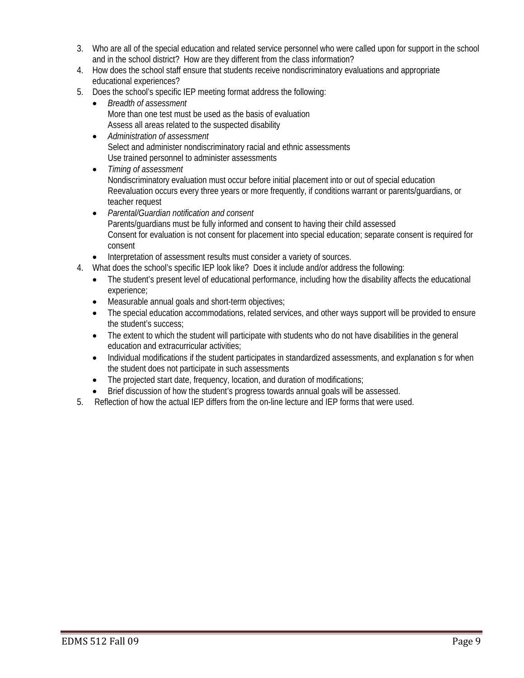- 3. Who are all of the special education and related service personnel who were called upon for support in the school and in the school district? How are they different from the class information?
- 4. How does the school staff ensure that students receive nondiscriminatory evaluations and appropriate educational experiences?
- 5. Does the school's specific IEP meeting format address the following:
	- *Breadth of assessment*  More than one test must be used as the basis of evaluation Assess all areas related to the suspected disability
	- *Administration of assessment*  Select and administer nondiscriminatory racial and ethnic assessments Use trained personnel to administer assessments
	- *Timing of assessment*  Nondiscriminatory evaluation must occur before initial placement into or out of special education Reevaluation occurs every three years or more frequently, if conditions warrant or parents/guardians, or teacher request
	- *Parental/Guardian notification and consent*  Parents/guardians must be fully informed and consent to having their child assessed Consent for evaluation is not consent for placement into special education; separate consent is required for consent
	- Interpretation of assessment results must consider a variety of sources.
- 4. What does the school's specific IEP look like? Does it include and/or address the following:
	- The student's present level of educational performance, including how the disability affects the educational experience;
	- Measurable annual goals and short-term objectives;
	- The special education accommodations, related services, and other ways support will be provided to ensure the student's success;
	- The extent to which the student will participate with students who do not have disabilities in the general education and extracurricular activities;
	- Individual modifications if the student participates in standardized assessments, and explanation s for when the student does not participate in such assessments
	- The projected start date, frequency, location, and duration of modifications;
	- Brief discussion of how the student's progress towards annual goals will be assessed.
- 5. Reflection of how the actual IEP differs from the on-line lecture and IEP forms that were used.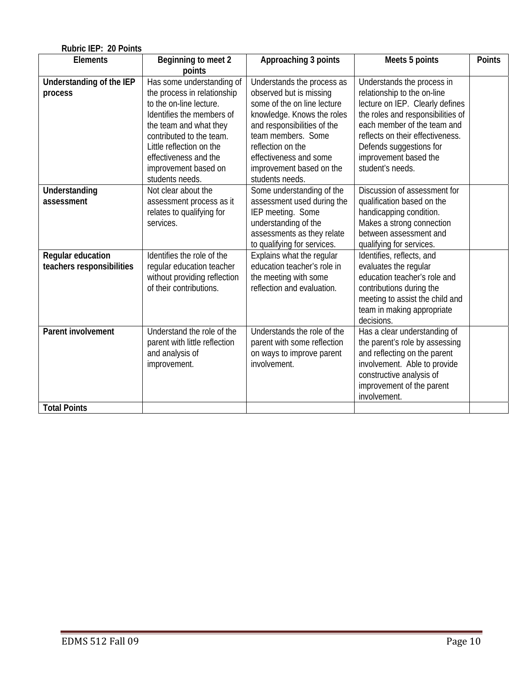| Rubric IEP: 20 Points     |                               |                             |                                   |               |
|---------------------------|-------------------------------|-----------------------------|-----------------------------------|---------------|
| <b>Elements</b>           | Beginning to meet 2           | Approaching 3 points        | Meets 5 points                    | <b>Points</b> |
|                           | points                        |                             |                                   |               |
| Understanding of the IEP  | Has some understanding of     | Understands the process as  | Understands the process in        |               |
| process                   | the process in relationship   | observed but is missing     | relationship to the on-line       |               |
|                           | to the on-line lecture.       | some of the on line lecture | lecture on IEP. Clearly defines   |               |
|                           | Identifies the members of     | knowledge. Knows the roles  | the roles and responsibilities of |               |
|                           | the team and what they        | and responsibilities of the | each member of the team and       |               |
|                           | contributed to the team.      | team members. Some          | reflects on their effectiveness.  |               |
|                           | Little reflection on the      | reflection on the           | Defends suggestions for           |               |
|                           | effectiveness and the         | effectiveness and some      | improvement based the             |               |
|                           | improvement based on          | improvement based on the    | student's needs.                  |               |
|                           | students needs.               | students needs.             |                                   |               |
| Understanding             | Not clear about the           | Some understanding of the   | Discussion of assessment for      |               |
| assessment                | assessment process as it      | assessment used during the  | qualification based on the        |               |
|                           | relates to qualifying for     | IEP meeting. Some           | handicapping condition.           |               |
|                           | services.                     | understanding of the        | Makes a strong connection         |               |
|                           |                               | assessments as they relate  | between assessment and            |               |
|                           |                               | to qualifying for services. | qualifying for services.          |               |
| Regular education         | Identifies the role of the    | Explains what the regular   | Identifies, reflects, and         |               |
| teachers responsibilities | regular education teacher     | education teacher's role in | evaluates the regular             |               |
|                           | without providing reflection  | the meeting with some       | education teacher's role and      |               |
|                           | of their contributions.       | reflection and evaluation.  | contributions during the          |               |
|                           |                               |                             | meeting to assist the child and   |               |
|                           |                               |                             | team in making appropriate        |               |
|                           |                               |                             | decisions.                        |               |
| Parent involvement        | Understand the role of the    | Understands the role of the | Has a clear understanding of      |               |
|                           | parent with little reflection | parent with some reflection | the parent's role by assessing    |               |
|                           | and analysis of               | on ways to improve parent   | and reflecting on the parent      |               |
|                           | improvement.                  | involvement.                | involvement. Able to provide      |               |
|                           |                               |                             | constructive analysis of          |               |
|                           |                               |                             | improvement of the parent         |               |
|                           |                               |                             | involvement.                      |               |
| <b>Total Points</b>       |                               |                             |                                   |               |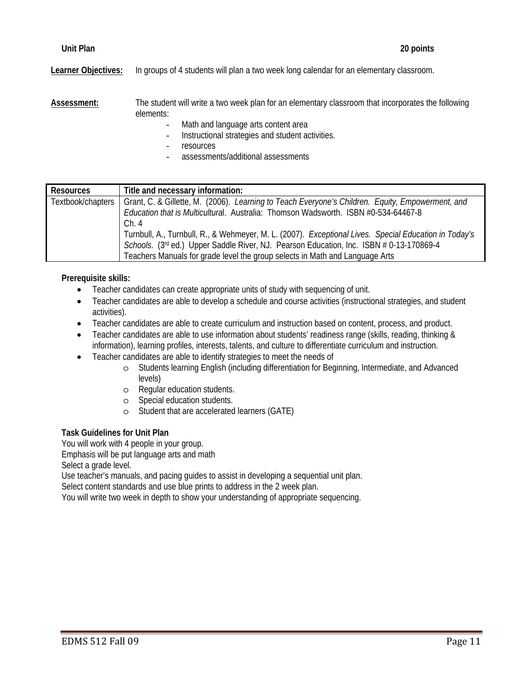**Learner Objectives:** In groups of 4 students will plan a two week long calendar for an elementary classroom.

**Assessment:** The student will write a two week plan for an elementary classroom that incorporates the following elements:

- Math and language arts content area
- Instructional strategies and student activities.
- resources
- assessments/additional assessments

| <b>Resources</b>  | Title and necessary information:                                                                      |
|-------------------|-------------------------------------------------------------------------------------------------------|
| Textbook/chapters | Grant, C. & Gillette, M. (2006). Learning to Teach Everyone's Children. Equity, Empowerment, and      |
|                   | Education that is Multicultural. Australia: Thomson Wadsworth. ISBN #0-534-64467-8                    |
|                   | Ch.4                                                                                                  |
|                   | Turnbull, A., Turnbull, R., & Wehmeyer, M. L. (2007). Exceptional Lives. Special Education in Today's |
|                   | Schools. (3rd ed.) Upper Saddle River, NJ. Pearson Education, Inc. ISBN # 0-13-170869-4               |
|                   | Teachers Manuals for grade level the group selects in Math and Language Arts                          |

## **Prerequisite skills:**

- Teacher candidates can create appropriate units of study with sequencing of unit.
- Teacher candidates are able to develop a schedule and course activities (instructional strategies, and student activities).
- Teacher candidates are able to create curriculum and instruction based on content, process, and product.
- Teacher candidates are able to use information about students' readiness range (skills, reading, thinking & information), learning profiles, interests, talents, and culture to differentiate curriculum and instruction.
- Teacher candidates are able to identify strategies to meet the needs of
	- o Students learning English (including differentiation for Beginning, Intermediate, and Advanced levels)
	- o Regular education students.
	- o Special education students.
	- o Student that are accelerated learners (GATE)

## **Task Guidelines for Unit Plan**

You will work with 4 people in your group.

Emphasis will be put language arts and math

Select a grade level.

Use teacher's manuals, and pacing guides to assist in developing a sequential unit plan.

Select content standards and use blue prints to address in the 2 week plan.

You will write two week in depth to show your understanding of appropriate sequencing.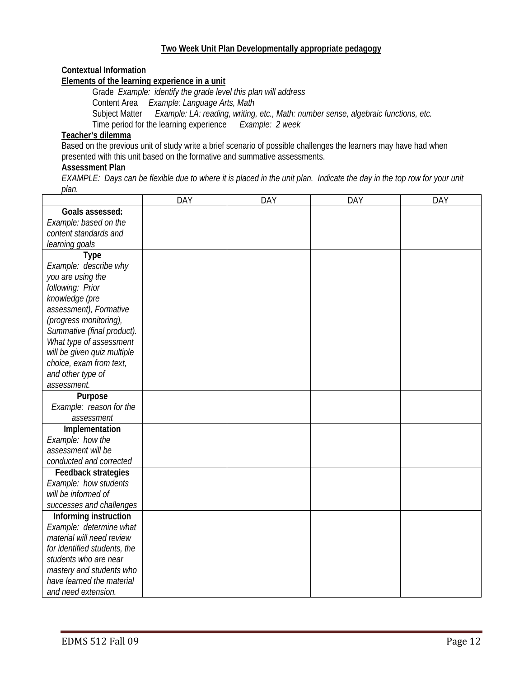## **Two Week Unit Plan Developmentally appropriate pedagogy**

## **Contextual Information**

## **Elements of the learning experience in a unit**

 Grade *Example: identify the grade level this plan will address*  Content Area *Example: Language Arts, Math*  Subject Matter *Example: LA: reading, writing, etc., Math: number sense, algebraic functions, etc.* Time period for the learning experience *Example: 2 week* 

# **Teacher's dilemma**

Based on the previous unit of study write a brief scenario of possible challenges the learners may have had when presented with this unit based on the formative and summative assessments.

## **Assessment Plan**

*EXAMPLE: Days can be flexible due to where it is placed in the unit plan. Indicate the day in the top row for your unit plan.* 

|                              | <b>DAY</b> | DAY | <b>DAY</b> | DAY |
|------------------------------|------------|-----|------------|-----|
| Goals assessed:              |            |     |            |     |
| Example: based on the        |            |     |            |     |
| content standards and        |            |     |            |     |
| learning goals               |            |     |            |     |
| <b>Type</b>                  |            |     |            |     |
| Example: describe why        |            |     |            |     |
| you are using the            |            |     |            |     |
| following: Prior             |            |     |            |     |
| knowledge (pre               |            |     |            |     |
| assessment), Formative       |            |     |            |     |
| (progress monitoring),       |            |     |            |     |
| Summative (final product).   |            |     |            |     |
| What type of assessment      |            |     |            |     |
| will be given quiz multiple  |            |     |            |     |
| choice, exam from text,      |            |     |            |     |
| and other type of            |            |     |            |     |
| assessment.                  |            |     |            |     |
| Purpose                      |            |     |            |     |
| Example: reason for the      |            |     |            |     |
| assessment                   |            |     |            |     |
| Implementation               |            |     |            |     |
| Example: how the             |            |     |            |     |
| assessment will be           |            |     |            |     |
| conducted and corrected      |            |     |            |     |
| <b>Feedback strategies</b>   |            |     |            |     |
| Example: how students        |            |     |            |     |
| will be informed of          |            |     |            |     |
| successes and challenges     |            |     |            |     |
| Informing instruction        |            |     |            |     |
| Example: determine what      |            |     |            |     |
| material will need review    |            |     |            |     |
| for identified students, the |            |     |            |     |
| students who are near        |            |     |            |     |
| mastery and students who     |            |     |            |     |
| have learned the material    |            |     |            |     |
| and need extension.          |            |     |            |     |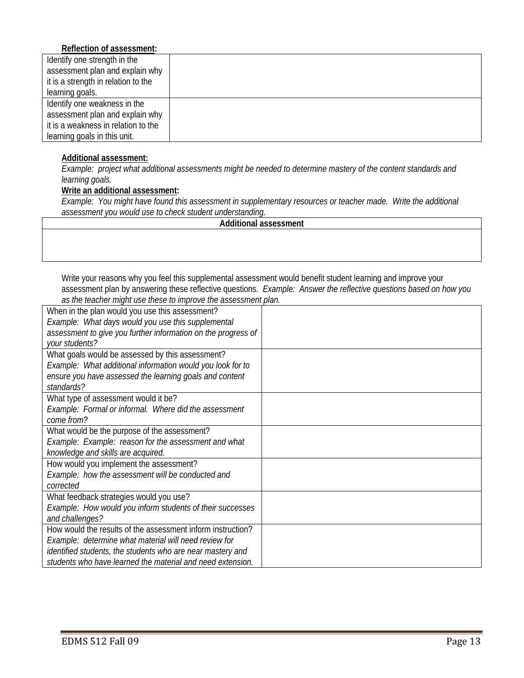## **Reflection of assessment:**

| Identify one strength in the        |  |
|-------------------------------------|--|
| assessment plan and explain why     |  |
| it is a strength in relation to the |  |
| learning goals.                     |  |
| Identify one weakness in the        |  |
| assessment plan and explain why     |  |
| it is a weakness in relation to the |  |
| learning goals in this unit.        |  |
|                                     |  |

## **Additional assessment:**

 *learning goals. Example: project what additional assessments might be needed to determine mastery of the content standards and* 

## **Write an additional assessment:**

*Example: You might have found this assessment in supplementary resources or teacher made. Write the additional assessment you would use to check student understanding.* 

|  | Additional assessment |
|--|-----------------------|
|--|-----------------------|

Write your reasons why you feel this supplemental assessment would benefit student learning and improve your assessment plan by answering these reflective questions. *Example: Answer the reflective questions based on how you as the teacher might use these to improve the assessment plan.* 

| When in the plan would you use this assessment?               |  |
|---------------------------------------------------------------|--|
| Example: What days would you use this supplemental            |  |
| assessment to give you further information on the progress of |  |
| your students?                                                |  |
| What goals would be assessed by this assessment?              |  |
| Example: What additional information would you look for to    |  |
| ensure you have assessed the learning goals and content       |  |
| standards?                                                    |  |
| What type of assessment would it be?                          |  |
| Example: Formal or informal. Where did the assessment         |  |
| come from?                                                    |  |
| What would be the purpose of the assessment?                  |  |
| Example: Example: reason for the assessment and what          |  |
| knowledge and skills are acquired.                            |  |
| How would you implement the assessment?                       |  |
| Example: how the assessment will be conducted and             |  |
| corrected                                                     |  |
| What feedback strategies would you use?                       |  |
| Example: How would you inform students of their successes     |  |
| and challenges?                                               |  |
| How would the results of the assessment inform instruction?   |  |
| Example: determine what material will need review for         |  |
| identified students, the students who are near mastery and    |  |
| students who have learned the material and need extension.    |  |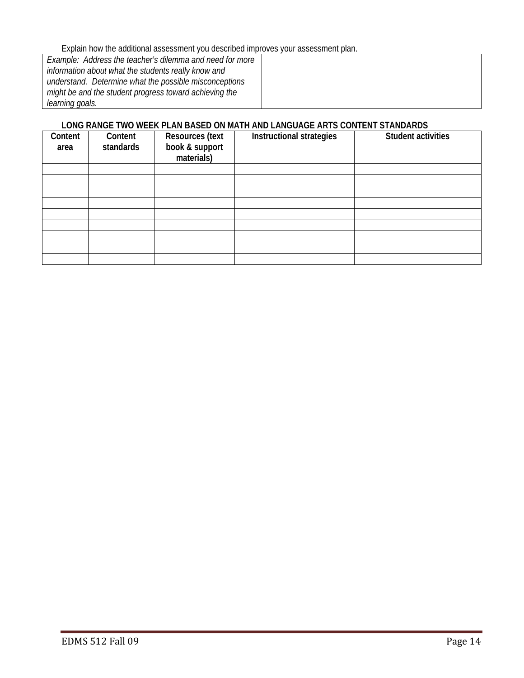Explain how the additional assessment you described improves your assessment plan.

| Example: Address the teacher's dilemma and need for more |  |
|----------------------------------------------------------|--|
| information about what the students really know and      |  |
| understand. Determine what the possible misconceptions   |  |
| might be and the student progress toward achieving the   |  |
| learning goals.                                          |  |

## **LONG RANGE TWO WEEK PLAN BASED ON MATH AND LANGUAGE ARTS CONTENT STANDARDS**

| Content<br>area | Content<br>standards | <b>Resources (text</b><br>book & support<br>materials) | Instructional strategies | <b>Student activities</b> |
|-----------------|----------------------|--------------------------------------------------------|--------------------------|---------------------------|
|                 |                      |                                                        |                          |                           |
|                 |                      |                                                        |                          |                           |
|                 |                      |                                                        |                          |                           |
|                 |                      |                                                        |                          |                           |
|                 |                      |                                                        |                          |                           |
|                 |                      |                                                        |                          |                           |
|                 |                      |                                                        |                          |                           |
|                 |                      |                                                        |                          |                           |
|                 |                      |                                                        |                          |                           |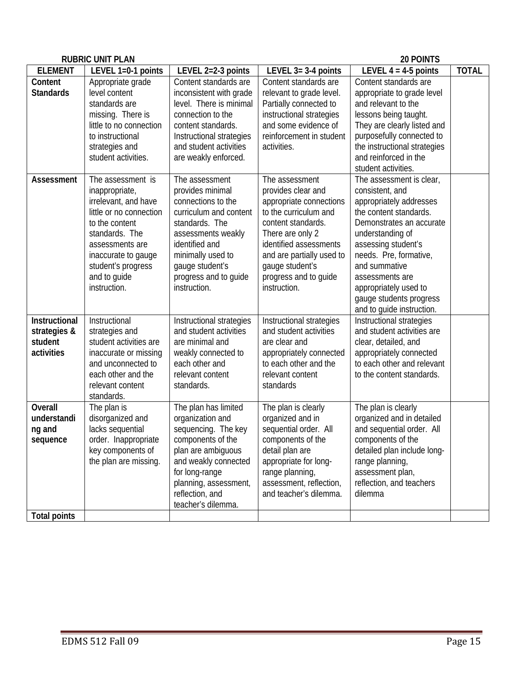|                                                        | <b>RUBRIC UNIT PLAN</b>                                                                                                                                                                                                    |                                                                                                                                                                                                                               |                                                                                                                                                                                                                                                       | 20 POINTS                                                                                                                                                                                                                                                                                                              |              |
|--------------------------------------------------------|----------------------------------------------------------------------------------------------------------------------------------------------------------------------------------------------------------------------------|-------------------------------------------------------------------------------------------------------------------------------------------------------------------------------------------------------------------------------|-------------------------------------------------------------------------------------------------------------------------------------------------------------------------------------------------------------------------------------------------------|------------------------------------------------------------------------------------------------------------------------------------------------------------------------------------------------------------------------------------------------------------------------------------------------------------------------|--------------|
| <b>ELEMENT</b>                                         | LEVEL 1=0-1 points                                                                                                                                                                                                         | LEVEL 2=2-3 points                                                                                                                                                                                                            | LEVEL 3= 3-4 points                                                                                                                                                                                                                                   | LEVEL $4 = 4.5$ points                                                                                                                                                                                                                                                                                                 | <b>TOTAL</b> |
| Content<br><b>Standards</b>                            | Appropriate grade<br>level content<br>standards are<br>missing. There is<br>little to no connection<br>to instructional<br>strategies and<br>student activities.                                                           | Content standards are<br>inconsistent with grade<br>level. There is minimal<br>connection to the<br>content standards.<br>Instructional strategies<br>and student activities<br>are weakly enforced.                          | Content standards are<br>relevant to grade level.<br>Partially connected to<br>instructional strategies<br>and some evidence of<br>reinforcement in student<br>activities.                                                                            | Content standards are<br>appropriate to grade level<br>and relevant to the<br>lessons being taught.<br>They are clearly listed and<br>purposefully connected to<br>the instructional strategies<br>and reinforced in the<br>student activities.                                                                        |              |
| Assessment                                             | The assessment is<br>inappropriate,<br>irrelevant, and have<br>little or no connection<br>to the content<br>standards. The<br>assessments are<br>inaccurate to gauge<br>student's progress<br>and to guide<br>instruction. | The assessment<br>provides minimal<br>connections to the<br>curriculum and content<br>standards. The<br>assessments weakly<br>identified and<br>minimally used to<br>gauge student's<br>progress and to guide<br>instruction. | The assessment<br>provides clear and<br>appropriate connections<br>to the curriculum and<br>content standards.<br>There are only 2<br>identified assessments<br>and are partially used to<br>gauge student's<br>progress and to guide<br>instruction. | The assessment is clear,<br>consistent, and<br>appropriately addresses<br>the content standards.<br>Demonstrates an accurate<br>understanding of<br>assessing student's<br>needs. Pre, formative,<br>and summative<br>assessments are<br>appropriately used to<br>gauge students progress<br>and to guide instruction. |              |
| Instructional<br>strategies &<br>student<br>activities | Instructional<br>strategies and<br>student activities are<br>inaccurate or missing<br>and unconnected to<br>each other and the<br>relevant content<br>standards.                                                           | Instructional strategies<br>and student activities<br>are minimal and<br>weakly connected to<br>each other and<br>relevant content<br>standards.                                                                              | Instructional strategies<br>and student activities<br>are clear and<br>appropriately connected<br>to each other and the<br>relevant content<br>standards                                                                                              | Instructional strategies<br>and student activities are<br>clear, detailed, and<br>appropriately connected<br>to each other and relevant<br>to the content standards.                                                                                                                                                   |              |
| <b>Overall</b><br>understandi<br>ng and<br>sequence    | The plan is<br>disorganized and<br>lacks sequential<br>order. Inappropriate<br>key components of<br>the plan are missing.                                                                                                  | The plan has limited<br>organization and<br>sequencing. The key<br>components of the<br>plan are ambiguous<br>and weakly connected<br>for long-range<br>planning, assessment,<br>reflection, and<br>teacher's dilemma.        | The plan is clearly<br>organized and in<br>sequential order. All<br>components of the<br>detail plan are<br>appropriate for long-<br>range planning,<br>assessment, reflection,<br>and teacher's dilemma.                                             | The plan is clearly<br>organized and in detailed<br>and sequential order. All<br>components of the<br>detailed plan include long-<br>range planning,<br>assessment plan,<br>reflection, and teachers<br>dilemma                                                                                                        |              |
| <b>Total points</b>                                    |                                                                                                                                                                                                                            |                                                                                                                                                                                                                               |                                                                                                                                                                                                                                                       |                                                                                                                                                                                                                                                                                                                        |              |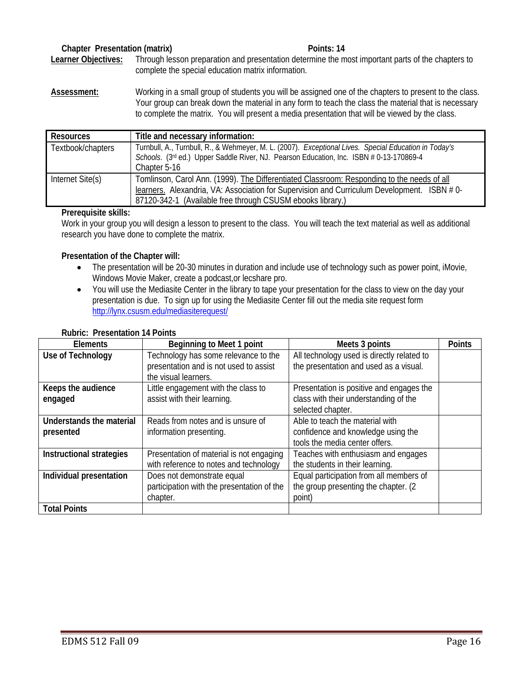## **Chapter Presentation (matrix)** All a control of the Points: 14 **Points**: 14

**Learner Objectives:** Through lesson preparation and presentation determine the most important parts of the chapters to complete the special education matrix information.

**Assessment:** Working in a small group of students you will be assigned one of the chapters to present to the class. Your group can break down the material in any form to teach the class the material that is necessary to complete the matrix. You will present a media presentation that will be viewed by the class.

| Resources         | Title and necessary information:                                                                                                                                                                                                                       |
|-------------------|--------------------------------------------------------------------------------------------------------------------------------------------------------------------------------------------------------------------------------------------------------|
| Textbook/chapters | Turnbull, A., Turnbull, R., & Wehmeyer, M. L. (2007). Exceptional Lives. Special Education in Today's<br>Schools. (3rd ed.) Upper Saddle River, NJ. Pearson Education, Inc. ISBN # 0-13-170869-4<br>Chapter 5-16                                       |
| Internet Site(s)  | Tomlinson, Carol Ann. (1999). The Differentiated Classroom: Responding to the needs of all<br>learners. Alexandria, VA: Association for Supervision and Curriculum Development. ISBN #0-<br>87120-342-1 (Available free through CSUSM ebooks library.) |

#### **Prerequisite skills:**

Work in your group you will design a lesson to present to the class. You will teach the text material as well as additional research you have done to complete the matrix.

#### **Presentation of the Chapter will:**

- The presentation will be 20-30 minutes in duration and include use of technology such as power point, iMovie, Windows Movie Maker, create a podcast,or lecshare pro.
- http://lynx.csusm.edu/mediasiterequest/ • You will use the Mediasite Center in the library to tape your presentation for the class to view on the day your presentation is due. To sign up for using the Mediasite Center fill out the media site request form

| <b>Elements</b>          | Beginning to Meet 1 point                  | Meets 3 points                             | <b>Points</b> |
|--------------------------|--------------------------------------------|--------------------------------------------|---------------|
| Use of Technology        | Technology has some relevance to the       | All technology used is directly related to |               |
|                          | presentation and is not used to assist     | the presentation and used as a visual.     |               |
|                          | the visual learners.                       |                                            |               |
| Keeps the audience       | Little engagement with the class to        | Presentation is positive and engages the   |               |
| engaged                  | assist with their learning.                | class with their understanding of the      |               |
|                          |                                            | selected chapter.                          |               |
| Understands the material | Reads from notes and is unsure of          | Able to teach the material with            |               |
| presented                | information presenting.                    | confidence and knowledge using the         |               |
|                          |                                            | tools the media center offers.             |               |
| Instructional strategies | Presentation of material is not engaging   | Teaches with enthusiasm and engages        |               |
|                          | with reference to notes and technology     | the students in their learning.            |               |
| Individual presentation  | Does not demonstrate equal                 | Equal participation from all members of    |               |
|                          | participation with the presentation of the | the group presenting the chapter. (2)      |               |
|                          | chapter.                                   | point)                                     |               |
| <b>Total Points</b>      |                                            |                                            |               |

#### **Rubric: Presentation 14 Points**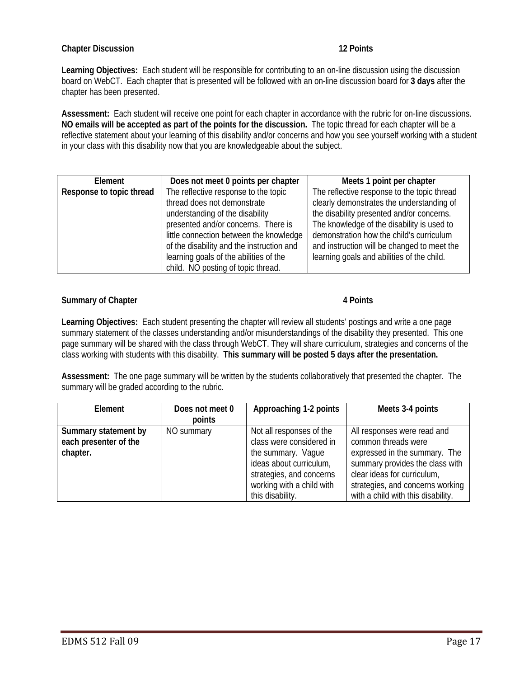## **Chapter Discussion** 12 Points

**Learning Objectives:** Each student will be responsible for contributing to an on-line discussion using the discussion board on WebCT. Each chapter that is presented will be followed with an on-line discussion board for **3 days** after the chapter has been presented.

 **NO emails will be accepted as part of the points for the discussion.** The topic thread for each chapter will be a **Assessment:** Each student will receive one point for each chapter in accordance with the rubric for on-line discussions. reflective statement about your learning of this disability and/or concerns and how you see yourself working with a student in your class with this disability now that you are knowledgeable about the subject.

| Element                  | Does not meet 0 points per chapter        | Meets 1 point per chapter                   |
|--------------------------|-------------------------------------------|---------------------------------------------|
| Response to topic thread | The reflective response to the topic      | The reflective response to the topic thread |
|                          | thread does not demonstrate               | clearly demonstrates the understanding of   |
|                          | understanding of the disability           | the disability presented and/or concerns.   |
|                          | presented and/or concerns. There is       | The knowledge of the disability is used to  |
|                          | little connection between the knowledge   | demonstration how the child's curriculum    |
|                          | of the disability and the instruction and | and instruction will be changed to meet the |
|                          | learning goals of the abilities of the    | learning goals and abilities of the child.  |
|                          | child. NO posting of topic thread.        |                                             |

#### **Summary of Chapter 4 Points 3 American Contract Authority Contract 4 Points 4 Points**

**Learning Objectives:** Each student presenting the chapter will review all students' postings and write a one page summary statement of the classes understanding and/or misunderstandings of the disability they presented. This one page summary will be shared with the class through WebCT. They will share curriculum, strategies and concerns of the class working with students with this disability. **This summary will be posted 5 days after the presentation.** 

**Assessment:** The one page summary will be written by the students collaboratively that presented the chapter. The summary will be graded according to the rubric.

| Element                                                   | Does not meet 0 | Approaching 1-2 points                                                                                                                                                             | Meets 3-4 points                                                                                                                                                                                                                |
|-----------------------------------------------------------|-----------------|------------------------------------------------------------------------------------------------------------------------------------------------------------------------------------|---------------------------------------------------------------------------------------------------------------------------------------------------------------------------------------------------------------------------------|
|                                                           | points          |                                                                                                                                                                                    |                                                                                                                                                                                                                                 |
| Summary statement by<br>each presenter of the<br>chapter. | NO summary      | Not all responses of the<br>class were considered in<br>the summary. Vaque<br>ideas about curriculum,<br>strategies, and concerns<br>working with a child with<br>this disability. | All responses were read and<br>common threads were<br>expressed in the summary. The<br>summary provides the class with<br>clear ideas for curriculum,<br>strategies, and concerns working<br>with a child with this disability. |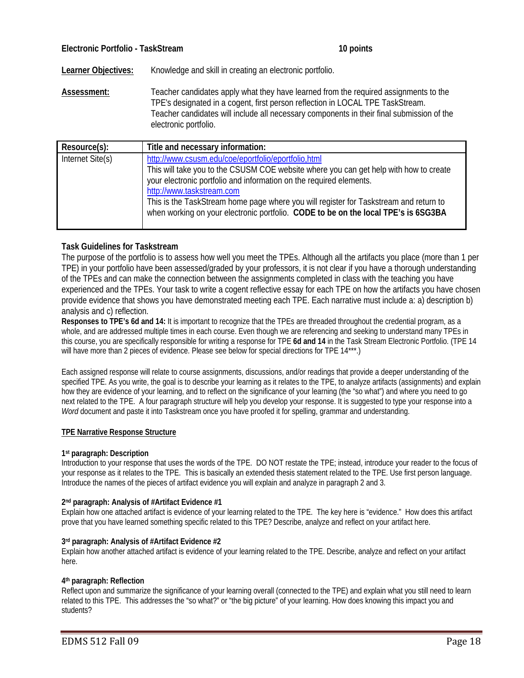**Learner Objectives:** Knowledge and skill in creating an electronic portfolio.

**Assessment:** Teacher candidates apply what they have learned from the required assignments to the TPE's designated in a cogent, first person reflection in LOCAL TPE TaskStream. Teacher candidates will include all necessary components in their final submission of the electronic portfolio.

| Resource(s):     | Title and necessary information:                                                                                                                                                                                                                                                                                                                                                                                                |
|------------------|---------------------------------------------------------------------------------------------------------------------------------------------------------------------------------------------------------------------------------------------------------------------------------------------------------------------------------------------------------------------------------------------------------------------------------|
| Internet Site(s) | http://www.csusm.edu/coe/eportfolio/eportfolio,html<br>This will take you to the CSUSM COE website where you can get help with how to create<br>your electronic portfolio and information on the required elements.<br>http://www.taskstream.com<br>This is the TaskStream home page where you will register for Taskstream and return to<br>when working on your electronic portfolio. CODE to be on the local TPE's is 6SG3BA |
|                  |                                                                                                                                                                                                                                                                                                                                                                                                                                 |

## **Task Guidelines for Taskstream**

The purpose of the portfolio is to assess how well you meet the TPEs. Although all the artifacts you place (more than 1 per TPE) in your portfolio have been assessed/graded by your professors, it is not clear if you have a thorough understanding of the TPEs and can make the connection between the assignments completed in class with the teaching you have experienced and the TPEs. Your task to write a cogent reflective essay for each TPE on how the artifacts you have chosen provide evidence that shows you have demonstrated meeting each TPE. Each narrative must include a: a) description b) analysis and c) reflection.

**Responses to TPE's 6d and 14:** It is important to recognize that the TPEs are threaded throughout the credential program, as a whole, and are addressed multiple times in each course. Even though we are referencing and seeking to understand many TPEs in this course, you are specifically responsible for writing a response for TPE **6d and 14** in the Task Stream Electronic Portfolio. (TPE 14 will have more than 2 pieces of evidence. Please see below for special directions for TPE 14\*\*\*.)

Each assigned response will relate to course assignments, discussions, and/or readings that provide a deeper understanding of the specified TPE. As you write, the goal is to describe your learning as it relates to the TPE, to analyze artifacts (assignments) and explain how they are evidence of your learning, and to reflect on the significance of your learning (the "so what") and where you need to go next related to the TPE. A four paragraph structure will help you develop your response. It is suggested to type your response into a *Word* document and paste it into Taskstream once you have proofed it for spelling, grammar and understanding.

#### **TPE Narrative Response Structure**

#### **1st paragraph: Description**

Introduction to your response that uses the words of the TPE. DO NOT restate the TPE; instead, introduce your reader to the focus of your response as it relates to the TPE. This is basically an extended thesis statement related to the TPE. Use first person language. Introduce the names of the pieces of artifact evidence you will explain and analyze in paragraph 2 and 3.

#### **2nd paragraph: Analysis of #Artifact Evidence #1**

Explain how one attached artifact is evidence of your learning related to the TPE. The key here is "evidence." How does this artifact prove that you have learned something specific related to this TPE? Describe, analyze and reflect on your artifact here.

#### **3rd paragraph: Analysis of #Artifact Evidence #2**

Explain how another attached artifact is evidence of your learning related to the TPE. Describe, analyze and reflect on your artifact here.

#### **4th paragraph: Reflection**

Reflect upon and summarize the significance of your learning overall (connected to the TPE) and explain what you still need to learn related to this TPE. This addresses the "so what?" or "the big picture" of your learning. How does knowing this impact you and students?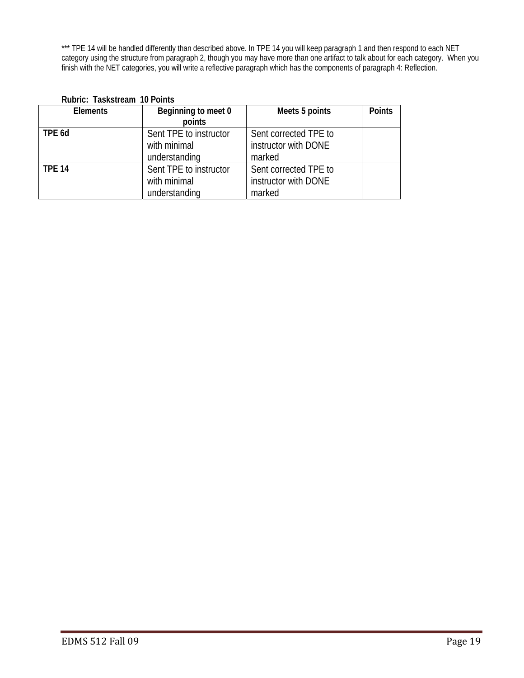\*\*\* TPE 14 will be handled differently than described above. In TPE 14 you will keep paragraph 1 and then respond to each NET category using the structure from paragraph 2, though you may have more than one artifact to talk about for each category. When you finish with the NET categories, you will write a reflective paragraph which has the components of paragraph 4: Reflection.

| <b>Elements</b> | Beginning to meet 0    | Meets 5 points        | <b>Points</b> |
|-----------------|------------------------|-----------------------|---------------|
|                 | points                 |                       |               |
| TPE 6d          | Sent TPE to instructor | Sent corrected TPE to |               |
|                 | with minimal           | instructor with DONE  |               |
|                 | understanding          | marked                |               |
| <b>TPE 14</b>   | Sent TPE to instructor | Sent corrected TPE to |               |
|                 | with minimal           | instructor with DONE  |               |
|                 | understanding          | marked                |               |

## **Rubric: Taskstream 10 Points**